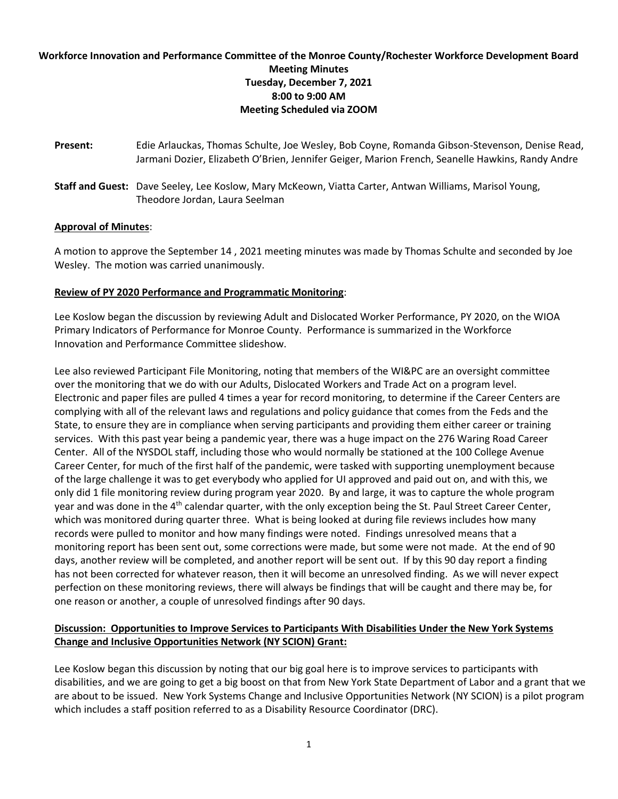## **Workforce Innovation and Performance Committee of the Monroe County/Rochester Workforce Development Board Meeting Minutes Tuesday, December 7, 2021 8:00 to 9:00 AM Meeting Scheduled via ZOOM**

- **Present:** Edie Arlauckas, Thomas Schulte, Joe Wesley, Bob Coyne, Romanda Gibson-Stevenson, Denise Read, Jarmani Dozier, Elizabeth O'Brien, Jennifer Geiger, Marion French, Seanelle Hawkins, Randy Andre
- **Staff and Guest:** Dave Seeley, Lee Koslow, Mary McKeown, Viatta Carter, Antwan Williams, Marisol Young, Theodore Jordan, Laura Seelman

## **Approval of Minutes**:

A motion to approve the September 14 , 2021 meeting minutes was made by Thomas Schulte and seconded by Joe Wesley. The motion was carried unanimously.

## **Review of PY 2020 Performance and Programmatic Monitoring**:

Lee Koslow began the discussion by reviewing Adult and Dislocated Worker Performance, PY 2020, on the WIOA Primary Indicators of Performance for Monroe County. Performance is summarized in the Workforce Innovation and Performance Committee slideshow.

Lee also reviewed Participant File Monitoring, noting that members of the WI&PC are an oversight committee over the monitoring that we do with our Adults, Dislocated Workers and Trade Act on a program level. Electronic and paper files are pulled 4 times a year for record monitoring, to determine if the Career Centers are complying with all of the relevant laws and regulations and policy guidance that comes from the Feds and the State, to ensure they are in compliance when serving participants and providing them either career or training services. With this past year being a pandemic year, there was a huge impact on the 276 Waring Road Career Center. All of the NYSDOL staff, including those who would normally be stationed at the 100 College Avenue Career Center, for much of the first half of the pandemic, were tasked with supporting unemployment because of the large challenge it was to get everybody who applied for UI approved and paid out on, and with this, we only did 1 file monitoring review during program year 2020. By and large, it was to capture the whole program year and was done in the 4<sup>th</sup> calendar quarter, with the only exception being the St. Paul Street Career Center, which was monitored during quarter three. What is being looked at during file reviews includes how many records were pulled to monitor and how many findings were noted. Findings unresolved means that a monitoring report has been sent out, some corrections were made, but some were not made. At the end of 90 days, another review will be completed, and another report will be sent out. If by this 90 day report a finding has not been corrected for whatever reason, then it will become an unresolved finding. As we will never expect perfection on these monitoring reviews, there will always be findings that will be caught and there may be, for one reason or another, a couple of unresolved findings after 90 days.

## **Discussion: Opportunities to Improve Services to Participants With Disabilities Under the New York Systems Change and Inclusive Opportunities Network (NY SCION) Grant:**

Lee Koslow began this discussion by noting that our big goal here is to improve services to participants with disabilities, and we are going to get a big boost on that from New York State Department of Labor and a grant that we are about to be issued. New York Systems Change and Inclusive Opportunities Network (NY SCION) is a pilot program which includes a staff position referred to as a Disability Resource Coordinator (DRC).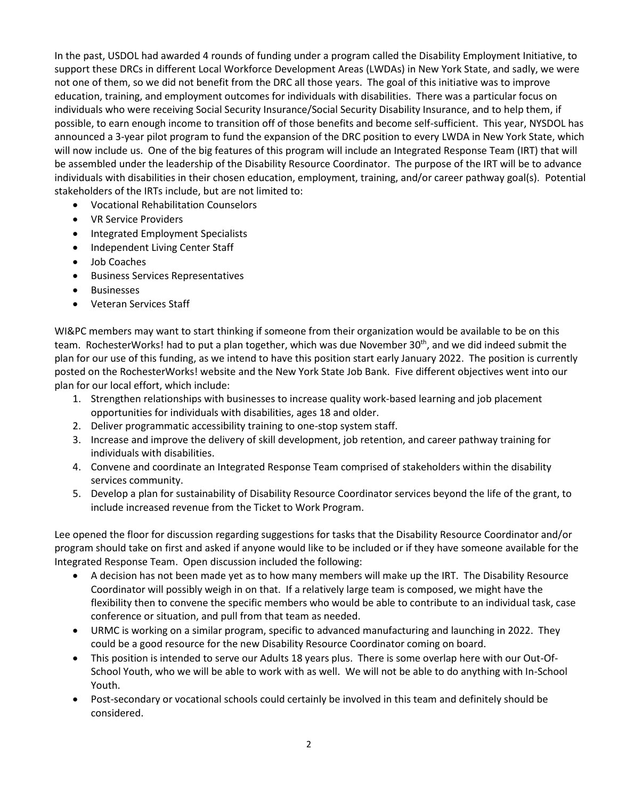In the past, USDOL had awarded 4 rounds of funding under a program called the Disability Employment Initiative, to support these DRCs in different Local Workforce Development Areas (LWDAs) in New York State, and sadly, we were not one of them, so we did not benefit from the DRC all those years. The goal of this initiative was to improve education, training, and employment outcomes for individuals with disabilities. There was a particular focus on individuals who were receiving Social Security Insurance/Social Security Disability Insurance, and to help them, if possible, to earn enough income to transition off of those benefits and become self-sufficient. This year, NYSDOL has announced a 3-year pilot program to fund the expansion of the DRC position to every LWDA in New York State, which will now include us. One of the big features of this program will include an Integrated Response Team (IRT) that will be assembled under the leadership of the Disability Resource Coordinator. The purpose of the IRT will be to advance individuals with disabilities in their chosen education, employment, training, and/or career pathway goal(s). Potential stakeholders of the IRTs include, but are not limited to:

- Vocational Rehabilitation Counselors
- VR Service Providers
- Integrated Employment Specialists
- Independent Living Center Staff
- Job Coaches
- Business Services Representatives
- Businesses
- Veteran Services Staff

WI&PC members may want to start thinking if someone from their organization would be available to be on this team. RochesterWorks! had to put a plan together, which was due November 30<sup>th</sup>, and we did indeed submit the plan for our use of this funding, as we intend to have this position start early January 2022. The position is currently posted on the RochesterWorks! website and the New York State Job Bank. Five different objectives went into our plan for our local effort, which include:

- 1. Strengthen relationships with businesses to increase quality work-based learning and job placement opportunities for individuals with disabilities, ages 18 and older.
- 2. Deliver programmatic accessibility training to one-stop system staff.
- 3. Increase and improve the delivery of skill development, job retention, and career pathway training for individuals with disabilities.
- 4. Convene and coordinate an Integrated Response Team comprised of stakeholders within the disability services community.
- 5. Develop a plan for sustainability of Disability Resource Coordinator services beyond the life of the grant, to include increased revenue from the Ticket to Work Program.

Lee opened the floor for discussion regarding suggestions for tasks that the Disability Resource Coordinator and/or program should take on first and asked if anyone would like to be included or if they have someone available for the Integrated Response Team. Open discussion included the following:

- A decision has not been made yet as to how many members will make up the IRT. The Disability Resource Coordinator will possibly weigh in on that. If a relatively large team is composed, we might have the flexibility then to convene the specific members who would be able to contribute to an individual task, case conference or situation, and pull from that team as needed.
- URMC is working on a similar program, specific to advanced manufacturing and launching in 2022. They could be a good resource for the new Disability Resource Coordinator coming on board.
- This position is intended to serve our Adults 18 years plus. There is some overlap here with our Out-Of-School Youth, who we will be able to work with as well. We will not be able to do anything with In-School Youth.
- Post-secondary or vocational schools could certainly be involved in this team and definitely should be considered.